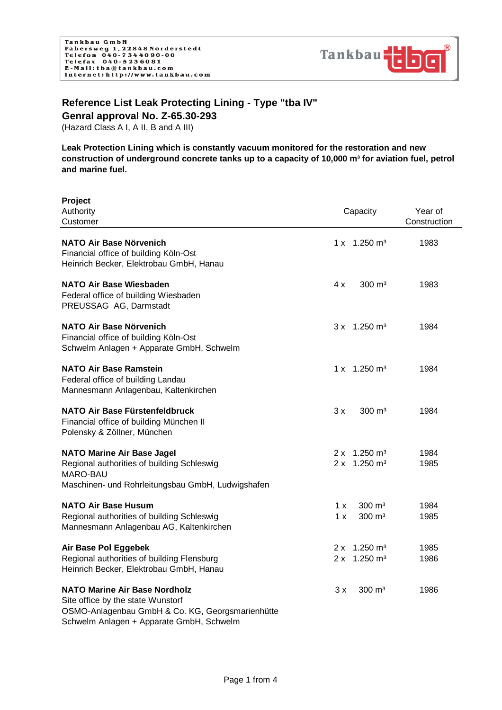

## **Reference List Leak Protecting Lining - Type "tba IV" Genral approval No. Z-65.30-293**

(Hazard Class A I, A II, B and A III)

**Leak Protection Lining which is constantly vacuum monitored for the restoration and new**  construction of underground concrete tanks up to a capacity of 10,000 m<sup>3</sup> for aviation fuel, petrol **and marine fuel.**

| Project<br>Capacity<br>Authority                                                                                                                                          |                                                                 |                                           | Year of      |  |
|---------------------------------------------------------------------------------------------------------------------------------------------------------------------------|-----------------------------------------------------------------|-------------------------------------------|--------------|--|
| Customer                                                                                                                                                                  |                                                                 |                                           | Construction |  |
| NATO Air Base Nörvenich<br>Financial office of building Köln-Ost<br>Heinrich Becker, Elektrobau GmbH, Hanau                                                               | $1 \times 1.250 \text{ m}^3$                                    |                                           | 1983         |  |
| <b>NATO Air Base Wiesbaden</b><br>Federal office of building Wiesbaden<br>PREUSSAG AG, Darmstadt                                                                          | 4 x                                                             | 300 m <sup>3</sup>                        | 1983         |  |
| <b>NATO Air Base Nörvenich</b><br>Financial office of building Köln-Ost<br>Schwelm Anlagen + Apparate GmbH, Schwelm                                                       | $3 \times 1.250$ m <sup>3</sup>                                 |                                           | 1984         |  |
| <b>NATO Air Base Ramstein</b><br>Federal office of building Landau<br>Mannesmann Anlagenbau, Kaltenkirchen                                                                | $1.250 \text{ m}^3$<br>1 x                                      |                                           | 1984         |  |
| NATO Air Base Fürstenfeldbruck<br>Financial office of building München II<br>Polensky & Zöllner, München                                                                  | 3x                                                              | 300 m <sup>3</sup>                        | 1984         |  |
| <b>NATO Marine Air Base Jagel</b><br>Regional authorities of building Schleswig<br><b>MARO-BAU</b><br>Maschinen- und Rohrleitungsbau GmbH, Ludwigshafen                   | $2 \times 1.250$ m <sup>3</sup><br>$2 \times 1.250 \text{ m}^3$ |                                           | 1984<br>1985 |  |
| <b>NATO Air Base Husum</b><br>Regional authorities of building Schleswig<br>Mannesmann Anlagenbau AG, Kaltenkirchen                                                       | 1 x<br>1 x                                                      | 300 m <sup>3</sup><br>$300 \; \text{m}^3$ | 1984<br>1985 |  |
| Air Base Pol Eggebek<br>Regional authorities of building Flensburg<br>Heinrich Becker, Elektrobau GmbH, Hanau                                                             | 2 x<br>$1.250 \text{ m}^3$<br>2x                                | $1.250 \text{ m}^3$                       | 1985<br>1986 |  |
| <b>NATO Marine Air Base Nordholz</b><br>Site office by the state Wunstorf<br>OSMO-Anlagenbau GmbH & Co. KG, Georgsmarienhütte<br>Schwelm Anlagen + Apparate GmbH, Schwelm | 3x                                                              | $300 \; \text{m}^3$                       | 1986         |  |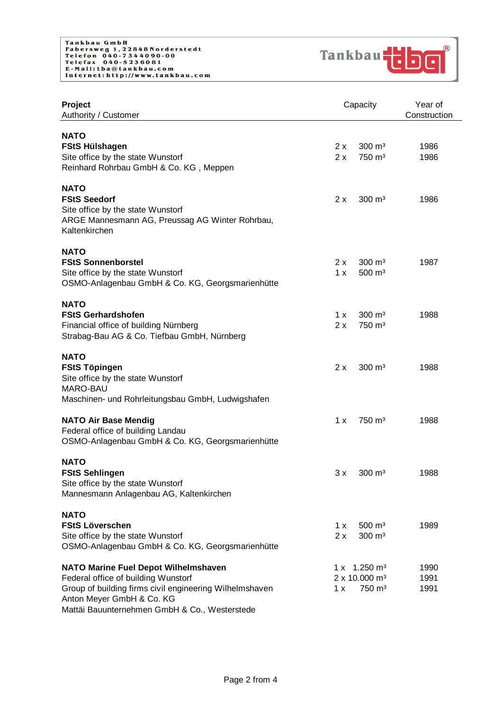

| Project<br>Authority / Customer                                                                                                                                                                                             | Capacity  |                                                                                    | Year of<br>Construction |  |
|-----------------------------------------------------------------------------------------------------------------------------------------------------------------------------------------------------------------------------|-----------|------------------------------------------------------------------------------------|-------------------------|--|
| <b>NATO</b><br><b>FStS Hülshagen</b><br>Site office by the state Wunstorf<br>Reinhard Rohrbau GmbH & Co. KG, Meppen                                                                                                         | 2x<br>2x  | $300 \text{ m}^3$<br>750 m <sup>3</sup>                                            | 1986<br>1986            |  |
| <b>NATO</b><br><b>FStS Seedorf</b><br>Site office by the state Wunstorf<br>ARGE Mannesmann AG, Preussag AG Winter Rohrbau,<br>Kaltenkirchen                                                                                 | 2x        | $300 \; \text{m}^3$                                                                | 1986                    |  |
| <b>NATO</b><br><b>FStS Sonnenborstel</b><br>Site office by the state Wunstorf<br>OSMO-Anlagenbau GmbH & Co. KG, Georgsmarienhütte                                                                                           | 2x<br>1x  | $300 \; \text{m}^3$<br>$500 \; \text{m}^3$                                         | 1987                    |  |
| <b>NATO</b><br><b>FStS Gerhardshofen</b><br>Financial office of building Nürnberg<br>Strabag-Bau AG & Co. Tiefbau GmbH, Nürnberg                                                                                            | 1 x<br>2x | $300 \; \text{m}^3$<br>750 m <sup>3</sup>                                          | 1988                    |  |
| <b>NATO</b><br><b>FStS Töpingen</b><br>Site office by the state Wunstorf<br>MARO-BAU<br>Maschinen- und Rohrleitungsbau GmbH, Ludwigshafen                                                                                   | 2x        | $300 \text{ m}^3$                                                                  | 1988                    |  |
| <b>NATO Air Base Mendig</b><br>Federal office of building Landau<br>OSMO-Anlagenbau GmbH & Co. KG, Georgsmarienhütte                                                                                                        | 1 x       | $750 \; \text{m}^3$                                                                | 1988                    |  |
| <b>NATO</b><br><b>FStS Sehlingen</b><br>Site office by the state Wunstorf<br>Mannesmann Anlagenbau AG, Kaltenkirchen                                                                                                        | 3x        | $300 \; \text{m}^3$                                                                | 1988                    |  |
| <b>NATO</b><br><b>FStS Löverschen</b><br>Site office by the state Wunstorf<br>OSMO-Anlagenbau GmbH & Co. KG, Georgsmarienhütte                                                                                              | 1 x<br>2x | $500 \; \text{m}^3$<br>300 m <sup>3</sup>                                          | 1989                    |  |
| <b>NATO Marine Fuel Depot Wilhelmshaven</b><br>Federal office of building Wunstorf<br>Group of building firms civil engineering Wilhelmshaven<br>Anton Meyer GmbH & Co. KG<br>Mattäi Bauunternehmen GmbH & Co., Westerstede | 1 x       | 1 x 1.250 m <sup>3</sup><br>$2 \times 10.000$ m <sup>3</sup><br>750 m <sup>3</sup> | 1990<br>1991<br>1991    |  |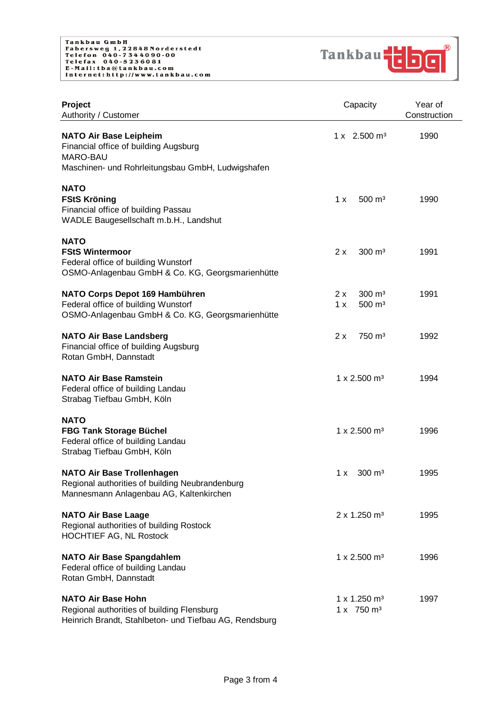

| Project<br>Authority / Customer                                                                                                                | Capacity                                                  | Year of<br>Construction |  |
|------------------------------------------------------------------------------------------------------------------------------------------------|-----------------------------------------------------------|-------------------------|--|
| <b>NATO Air Base Leipheim</b><br>Financial office of building Augsburg<br><b>MARO-BAU</b><br>Maschinen- und Rohrleitungsbau GmbH, Ludwigshafen | 1 x 2.500 m <sup>3</sup>                                  | 1990                    |  |
| <b>NATO</b><br><b>FStS Kröning</b><br>Financial office of building Passau<br>WADLE Baugesellschaft m.b.H., Landshut                            | 1 x<br>$500 \; \text{m}^3$                                | 1990                    |  |
| <b>NATO</b><br><b>FStS Wintermoor</b><br>Federal office of building Wunstorf<br>OSMO-Anlagenbau GmbH & Co. KG, Georgsmarienhütte               | 2x<br>$300 \text{ m}^3$                                   | 1991                    |  |
| NATO Corps Depot 169 Hambühren<br>Federal office of building Wunstorf<br>OSMO-Anlagenbau GmbH & Co. KG, Georgsmarienhütte                      | 2x<br>$300 \text{ m}^3$<br>1 x<br>$500 \; \text{m}^3$     | 1991                    |  |
| <b>NATO Air Base Landsberg</b><br>Financial office of building Augsburg<br>Rotan GmbH, Dannstadt                                               | 2x<br>$750 \; \text{m}^3$                                 | 1992                    |  |
| <b>NATO Air Base Ramstein</b><br>Federal office of building Landau<br>Strabag Tiefbau GmbH, Köln                                               | 1 x 2.500 m <sup>3</sup>                                  | 1994                    |  |
| <b>NATO</b><br><b>FBG Tank Storage Büchel</b><br>Federal office of building Landau<br>Strabag Tiefbau GmbH, Köln                               | $1 \times 2.500$ m <sup>3</sup>                           | 1996                    |  |
| <b>NATO Air Base Trollenhagen</b><br>Regional authorities of building Neubrandenburg<br>Mannesmann Anlagenbau AG, Kaltenkirchen                | $300 \; \text{m}^3$<br>1 x                                | 1995                    |  |
| <b>NATO Air Base Laage</b><br>Regional authorities of building Rostock<br><b>HOCHTIEF AG, NL Rostock</b>                                       | 2 x 1.250 m <sup>3</sup>                                  | 1995                    |  |
| <b>NATO Air Base Spangdahlem</b><br>Federal office of building Landau<br>Rotan GmbH, Dannstadt                                                 | $1 \times 2.500$ m <sup>3</sup>                           | 1996                    |  |
| <b>NATO Air Base Hohn</b><br>Regional authorities of building Flensburg<br>Heinrich Brandt, Stahlbeton- und Tiefbau AG, Rendsburg              | $1 \times 1.250$ m <sup>3</sup><br>1 x 750 m <sup>3</sup> | 1997                    |  |